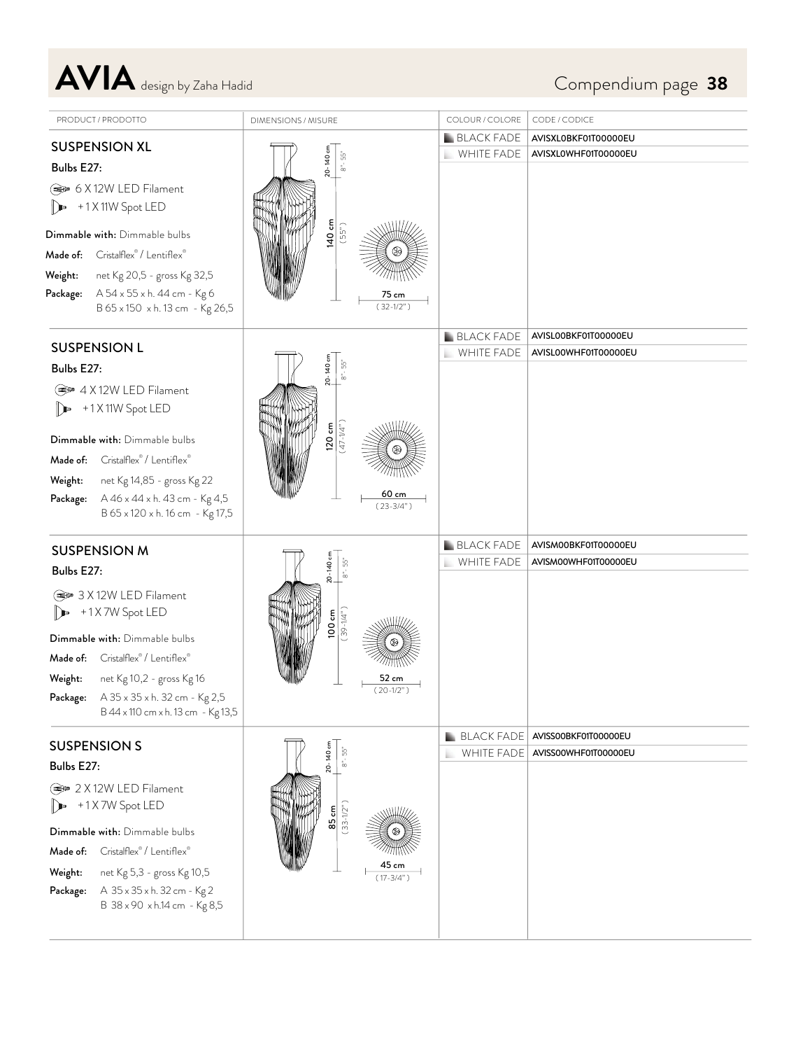AVIA design by Zaha Hadid Compendium page 38